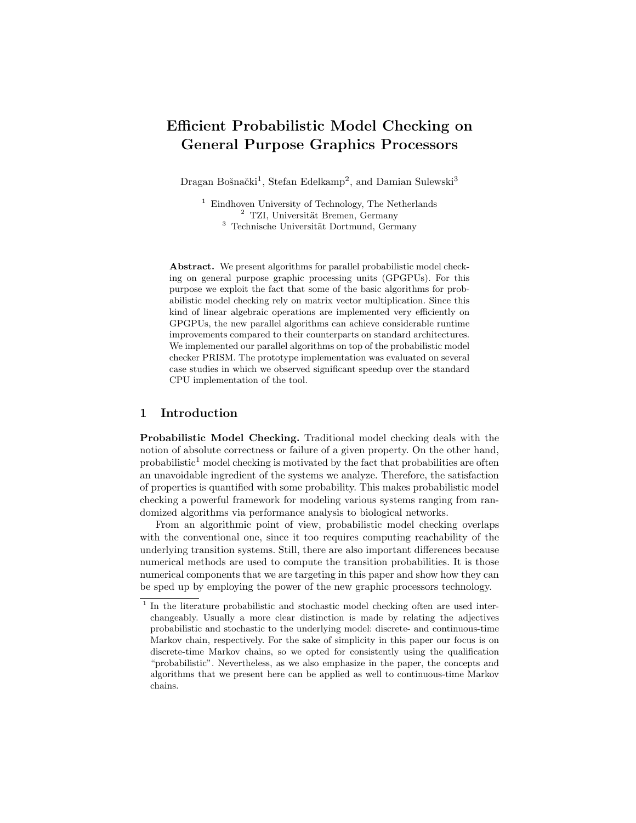# Efficient Probabilistic Model Checking on General Purpose Graphics Processors

Dragan Bošnački<sup>1</sup>, Stefan Edelkamp<sup>2</sup>, and Damian Sulewski<sup>3</sup>

<sup>1</sup> Eindhoven University of Technology, The Netherlands  $2$  TZI, Universität Bremen, Germany  $3$  Technische Universität Dortmund, Germany

Abstract. We present algorithms for parallel probabilistic model checking on general purpose graphic processing units (GPGPUs). For this purpose we exploit the fact that some of the basic algorithms for probabilistic model checking rely on matrix vector multiplication. Since this kind of linear algebraic operations are implemented very efficiently on GPGPUs, the new parallel algorithms can achieve considerable runtime improvements compared to their counterparts on standard architectures. We implemented our parallel algorithms on top of the probabilistic model checker PRISM. The prototype implementation was evaluated on several case studies in which we observed significant speedup over the standard CPU implementation of the tool.

### 1 Introduction

Probabilistic Model Checking. Traditional model checking deals with the notion of absolute correctness or failure of a given property. On the other hand,  $probabilistic<sup>1</sup>$  model checking is motivated by the fact that probabilities are often an unavoidable ingredient of the systems we analyze. Therefore, the satisfaction of properties is quantified with some probability. This makes probabilistic model checking a powerful framework for modeling various systems ranging from randomized algorithms via performance analysis to biological networks.

From an algorithmic point of view, probabilistic model checking overlaps with the conventional one, since it too requires computing reachability of the underlying transition systems. Still, there are also important differences because numerical methods are used to compute the transition probabilities. It is those numerical components that we are targeting in this paper and show how they can be sped up by employing the power of the new graphic processors technology.

<sup>&</sup>lt;sup>1</sup> In the literature probabilistic and stochastic model checking often are used interchangeably. Usually a more clear distinction is made by relating the adjectives probabilistic and stochastic to the underlying model: discrete- and continuous-time Markov chain, respectively. For the sake of simplicity in this paper our focus is on discrete-time Markov chains, so we opted for consistently using the qualification "probabilistic". Nevertheless, as we also emphasize in the paper, the concepts and algorithms that we present here can be applied as well to continuous-time Markov chains.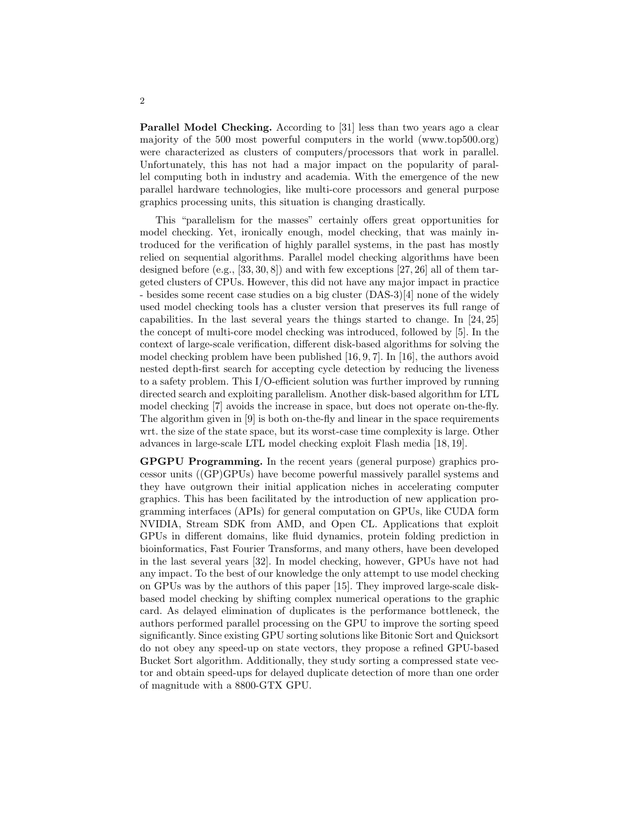Parallel Model Checking. According to [31] less than two years ago a clear majority of the 500 most powerful computers in the world (www.top500.org) were characterized as clusters of computers/processors that work in parallel. Unfortunately, this has not had a major impact on the popularity of parallel computing both in industry and academia. With the emergence of the new parallel hardware technologies, like multi-core processors and general purpose graphics processing units, this situation is changing drastically.

This "parallelism for the masses" certainly offers great opportunities for model checking. Yet, ironically enough, model checking, that was mainly introduced for the verification of highly parallel systems, in the past has mostly relied on sequential algorithms. Parallel model checking algorithms have been designed before (e.g., [33, 30, 8]) and with few exceptions [27, 26] all of them targeted clusters of CPUs. However, this did not have any major impact in practice - besides some recent case studies on a big cluster (DAS-3)[4] none of the widely used model checking tools has a cluster version that preserves its full range of capabilities. In the last several years the things started to change. In [24, 25] the concept of multi-core model checking was introduced, followed by [5]. In the context of large-scale verification, different disk-based algorithms for solving the model checking problem have been published  $[16, 9, 7]$ . In [16], the authors avoid nested depth-first search for accepting cycle detection by reducing the liveness to a safety problem. This I/O-efficient solution was further improved by running directed search and exploiting parallelism. Another disk-based algorithm for LTL model checking [7] avoids the increase in space, but does not operate on-the-fly. The algorithm given in [9] is both on-the-fly and linear in the space requirements wrt. the size of the state space, but its worst-case time complexity is large. Other advances in large-scale LTL model checking exploit Flash media [18, 19].

GPGPU Programming. In the recent years (general purpose) graphics processor units ((GP)GPUs) have become powerful massively parallel systems and they have outgrown their initial application niches in accelerating computer graphics. This has been facilitated by the introduction of new application programming interfaces (APIs) for general computation on GPUs, like CUDA form NVIDIA, Stream SDK from AMD, and Open CL. Applications that exploit GPUs in different domains, like fluid dynamics, protein folding prediction in bioinformatics, Fast Fourier Transforms, and many others, have been developed in the last several years [32]. In model checking, however, GPUs have not had any impact. To the best of our knowledge the only attempt to use model checking on GPUs was by the authors of this paper [15]. They improved large-scale diskbased model checking by shifting complex numerical operations to the graphic card. As delayed elimination of duplicates is the performance bottleneck, the authors performed parallel processing on the GPU to improve the sorting speed significantly. Since existing GPU sorting solutions like Bitonic Sort and Quicksort do not obey any speed-up on state vectors, they propose a refined GPU-based Bucket Sort algorithm. Additionally, they study sorting a compressed state vector and obtain speed-ups for delayed duplicate detection of more than one order of magnitude with a 8800-GTX GPU.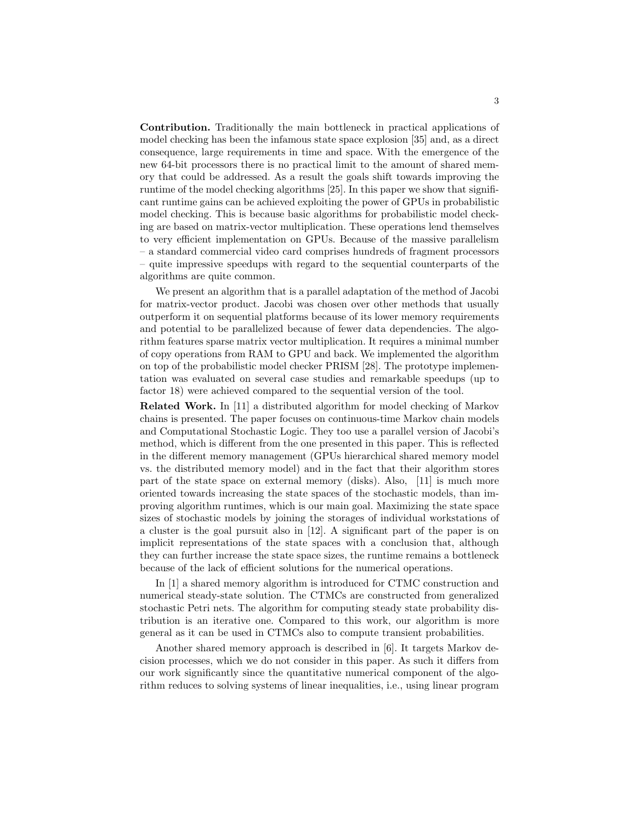Contribution. Traditionally the main bottleneck in practical applications of model checking has been the infamous state space explosion [35] and, as a direct consequence, large requirements in time and space. With the emergence of the new 64-bit processors there is no practical limit to the amount of shared memory that could be addressed. As a result the goals shift towards improving the runtime of the model checking algorithms [25]. In this paper we show that significant runtime gains can be achieved exploiting the power of GPUs in probabilistic model checking. This is because basic algorithms for probabilistic model checking are based on matrix-vector multiplication. These operations lend themselves to very efficient implementation on GPUs. Because of the massive parallelism – a standard commercial video card comprises hundreds of fragment processors – quite impressive speedups with regard to the sequential counterparts of the algorithms are quite common.

We present an algorithm that is a parallel adaptation of the method of Jacobi for matrix-vector product. Jacobi was chosen over other methods that usually outperform it on sequential platforms because of its lower memory requirements and potential to be parallelized because of fewer data dependencies. The algorithm features sparse matrix vector multiplication. It requires a minimal number of copy operations from RAM to GPU and back. We implemented the algorithm on top of the probabilistic model checker PRISM [28]. The prototype implementation was evaluated on several case studies and remarkable speedups (up to factor 18) were achieved compared to the sequential version of the tool.

Related Work. In [11] a distributed algorithm for model checking of Markov chains is presented. The paper focuses on continuous-time Markov chain models and Computational Stochastic Logic. They too use a parallel version of Jacobi's method, which is different from the one presented in this paper. This is reflected in the different memory management (GPUs hierarchical shared memory model vs. the distributed memory model) and in the fact that their algorithm stores part of the state space on external memory (disks). Also, [11] is much more oriented towards increasing the state spaces of the stochastic models, than improving algorithm runtimes, which is our main goal. Maximizing the state space sizes of stochastic models by joining the storages of individual workstations of a cluster is the goal pursuit also in [12]. A significant part of the paper is on implicit representations of the state spaces with a conclusion that, although they can further increase the state space sizes, the runtime remains a bottleneck because of the lack of efficient solutions for the numerical operations.

In [1] a shared memory algorithm is introduced for CTMC construction and numerical steady-state solution. The CTMCs are constructed from generalized stochastic Petri nets. The algorithm for computing steady state probability distribution is an iterative one. Compared to this work, our algorithm is more general as it can be used in CTMCs also to compute transient probabilities.

Another shared memory approach is described in [6]. It targets Markov decision processes, which we do not consider in this paper. As such it differs from our work significantly since the quantitative numerical component of the algorithm reduces to solving systems of linear inequalities, i.e., using linear program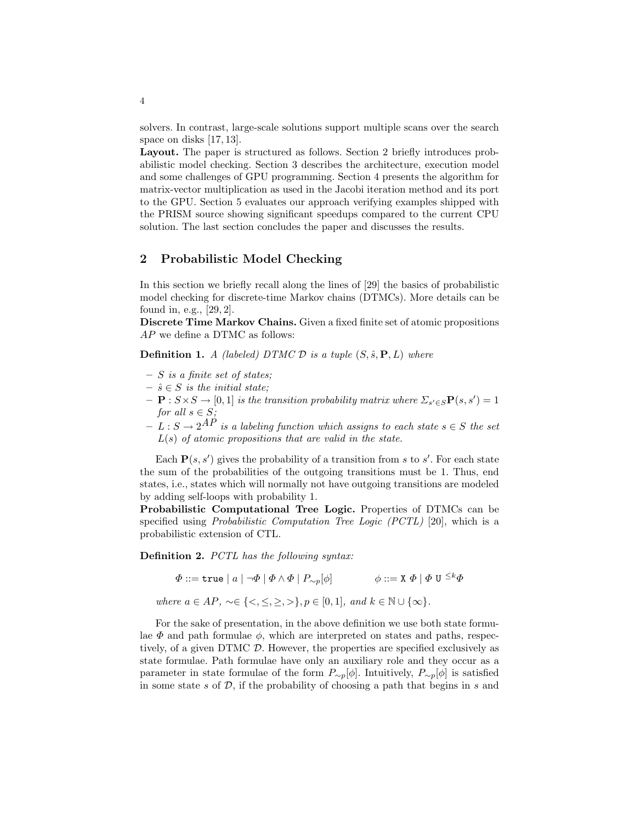solvers. In contrast, large-scale solutions support multiple scans over the search space on disks [17, 13].

Layout. The paper is structured as follows. Section 2 briefly introduces probabilistic model checking. Section 3 describes the architecture, execution model and some challenges of GPU programming. Section 4 presents the algorithm for matrix-vector multiplication as used in the Jacobi iteration method and its port to the GPU. Section 5 evaluates our approach verifying examples shipped with the PRISM source showing significant speedups compared to the current CPU solution. The last section concludes the paper and discusses the results.

## 2 Probabilistic Model Checking

In this section we briefly recall along the lines of [29] the basics of probabilistic model checking for discrete-time Markov chains (DTMCs). More details can be found in, e.g., [29, 2].

Discrete Time Markov Chains. Given a fixed finite set of atomic propositions AP we define a DTMC as follows:

**Definition 1.** A (labeled) DTMC  $D$  is a tuple  $(S, \hat{s}, P, L)$  where

- $S$  is a finite set of states;
- $\hat{s} \in S$  is the initial state;
- $\mathbf{P}: S \times S \rightarrow [0,1]$  is the transition probability matrix where  $\sum_{s' \in S} \mathbf{P}(s, s') = 1$ for all  $s \in S$ ;
- $-L : S \to 2^{\text{AP}}$  is a labeling function which assigns to each state  $s \in S$  the set  $L(s)$  of atomic propositions that are valid in the state.

Each  $P(s, s')$  gives the probability of a transition from s to s'. For each state the sum of the probabilities of the outgoing transitions must be 1. Thus, end states, i.e., states which will normally not have outgoing transitions are modeled by adding self-loops with probability 1.

Probabilistic Computational Tree Logic. Properties of DTMCs can be specified using *Probabilistic Computation Tree Logic (PCTL)* [20], which is a probabilistic extension of CTL.

Definition 2. PCTL has the following syntax:

 $\varPhi ::= {\tt true} \mid a \mid \neg \varPhi \mid \varPhi \land \varPhi \mid P_{\sim p}[\phi] \qquad \qquad \phi ::= {\tt X} \; \varPhi \mid \varPhi \; {\tt U} \overset{< k} {\rightarrow} \varPhi$ where  $a \in AP$ ,  $\sim \in \{ \langle \leq, \leq, \geq \rangle, p \in [0,1], \text{ and } k \in \mathbb{N} \cup \{ \infty \}.$ 

For the sake of presentation, in the above definition we use both state formulae  $\Phi$  and path formulae  $\phi$ , which are interpreted on states and paths, respectively, of a given DTMC D. However, the properties are specified exclusively as state formulae. Path formulae have only an auxiliary role and they occur as a parameter in state formulae of the form  $P_{\sim p}[\phi]$ . Intuitively,  $P_{\sim p}[\phi]$  is satisfied in some state  $s$  of  $D$ , if the probability of choosing a path that begins in  $s$  and

4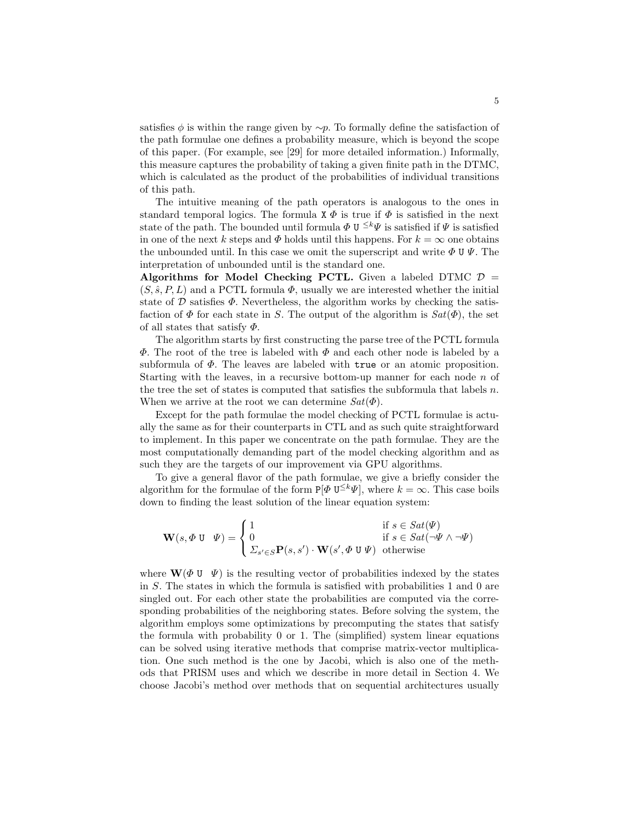satisfies  $\phi$  is within the range given by  $\sim p$ . To formally define the satisfaction of the path formulae one defines a probability measure, which is beyond the scope of this paper. (For example, see [29] for more detailed information.) Informally, this measure captures the probability of taking a given finite path in the DTMC, which is calculated as the product of the probabilities of individual transitions of this path.

The intuitive meaning of the path operators is analogous to the ones in standard temporal logics. The formula  $X \Phi$  is true if  $\Phi$  is satisfied in the next state of the path. The bounded until formula  $\Phi \,\mathsf{U} \leq^k \Psi$  is satisfied if  $\Psi$  is satisfied in one of the next k steps and  $\Phi$  holds until this happens. For  $k = \infty$  one obtains the unbounded until. In this case we omit the superscript and write  $\Phi \cup \Psi$ . The interpretation of unbounded until is the standard one.

Algorithms for Model Checking PCTL. Given a labeled DTMC  $\mathcal{D} =$  $(S, \hat{s}, P, L)$  and a PCTL formula  $\Phi$ , usually we are interested whether the initial state of  $D$  satisfies  $\Phi$ . Nevertheless, the algorithm works by checking the satisfaction of  $\Phi$  for each state in S. The output of the algorithm is  $Sat(\Phi)$ , the set of all states that satisfy  $\Phi$ .

The algorithm starts by first constructing the parse tree of the PCTL formula  $\Phi$ . The root of the tree is labeled with  $\Phi$  and each other node is labeled by a subformula of  $\Phi$ . The leaves are labeled with true or an atomic proposition. Starting with the leaves, in a recursive bottom-up manner for each node  $n$  of the tree the set of states is computed that satisfies the subformula that labels  $n$ . When we arrive at the root we can determine  $Sat(\Phi)$ .

Except for the path formulae the model checking of PCTL formulae is actually the same as for their counterparts in CTL and as such quite straightforward to implement. In this paper we concentrate on the path formulae. They are the most computationally demanding part of the model checking algorithm and as such they are the targets of our improvement via GPU algorithms.

To give a general flavor of the path formulae, we give a briefly consider the algorithm for the formulae of the form  $P[\Phi \cup \leq^k \Psi]$ , where  $k = \infty$ . This case boils down to finding the least solution of the linear equation system:

$$
\mathbf{W}(s, \Phi \cup \Psi) = \begin{cases} 1 & \text{if } s \in Sat(\Psi) \\ 0 & \text{if } s \in Sat(\neg \Psi \land \neg \Psi) \\ \Sigma_{s' \in S} \mathbf{P}(s, s') \cdot \mathbf{W}(s', \Phi \cup \Psi) & \text{otherwise} \end{cases}
$$

where  $\mathbf{W}(\Phi \cup \Psi)$  is the resulting vector of probabilities indexed by the states in S. The states in which the formula is satisfied with probabilities 1 and 0 are singled out. For each other state the probabilities are computed via the corresponding probabilities of the neighboring states. Before solving the system, the algorithm employs some optimizations by precomputing the states that satisfy the formula with probability 0 or 1. The (simplified) system linear equations can be solved using iterative methods that comprise matrix-vector multiplication. One such method is the one by Jacobi, which is also one of the methods that PRISM uses and which we describe in more detail in Section 4. We choose Jacobi's method over methods that on sequential architectures usually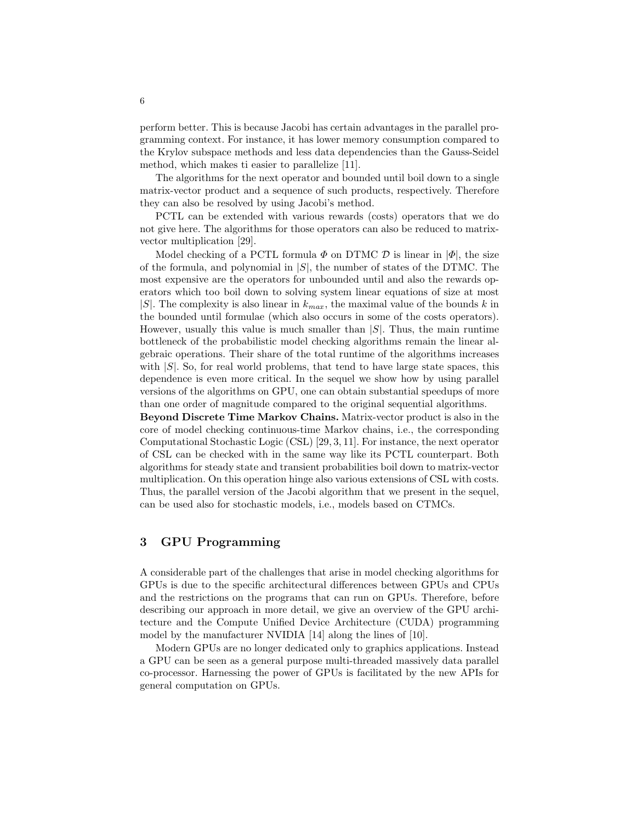perform better. This is because Jacobi has certain advantages in the parallel programming context. For instance, it has lower memory consumption compared to the Krylov subspace methods and less data dependencies than the Gauss-Seidel method, which makes ti easier to parallelize [11].

The algorithms for the next operator and bounded until boil down to a single matrix-vector product and a sequence of such products, respectively. Therefore they can also be resolved by using Jacobi's method.

PCTL can be extended with various rewards (costs) operators that we do not give here. The algorithms for those operators can also be reduced to matrixvector multiplication [29].

Model checking of a PCTL formula  $\Phi$  on DTMC D is linear in  $|\Phi|$ , the size of the formula, and polynomial in  $|S|$ , the number of states of the DTMC. The most expensive are the operators for unbounded until and also the rewards operators which too boil down to solving system linear equations of size at most |S|. The complexity is also linear in  $k_{max}$ , the maximal value of the bounds k in the bounded until formulae (which also occurs in some of the costs operators). However, usually this value is much smaller than  $|S|$ . Thus, the main runtime bottleneck of the probabilistic model checking algorithms remain the linear algebraic operations. Their share of the total runtime of the algorithms increases with  $|S|$ . So, for real world problems, that tend to have large state spaces, this dependence is even more critical. In the sequel we show how by using parallel versions of the algorithms on GPU, one can obtain substantial speedups of more than one order of magnitude compared to the original sequential algorithms.

Beyond Discrete Time Markov Chains. Matrix-vector product is also in the core of model checking continuous-time Markov chains, i.e., the corresponding Computational Stochastic Logic (CSL) [29, 3, 11]. For instance, the next operator of CSL can be checked with in the same way like its PCTL counterpart. Both algorithms for steady state and transient probabilities boil down to matrix-vector multiplication. On this operation hinge also various extensions of CSL with costs. Thus, the parallel version of the Jacobi algorithm that we present in the sequel, can be used also for stochastic models, i.e., models based on CTMCs.

# 3 GPU Programming

A considerable part of the challenges that arise in model checking algorithms for GPUs is due to the specific architectural differences between GPUs and CPUs and the restrictions on the programs that can run on GPUs. Therefore, before describing our approach in more detail, we give an overview of the GPU architecture and the Compute Unified Device Architecture (CUDA) programming model by the manufacturer NVIDIA [14] along the lines of [10].

Modern GPUs are no longer dedicated only to graphics applications. Instead a GPU can be seen as a general purpose multi-threaded massively data parallel co-processor. Harnessing the power of GPUs is facilitated by the new APIs for general computation on GPUs.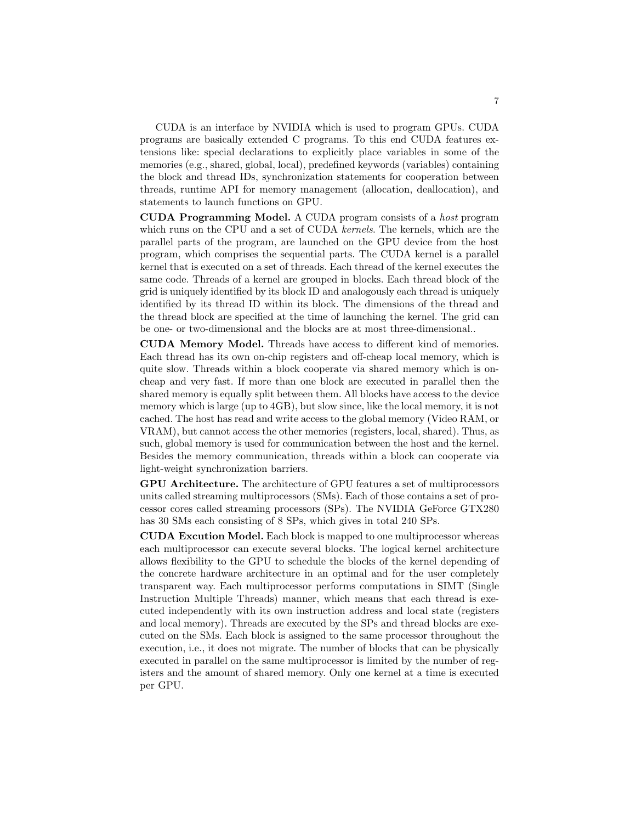CUDA is an interface by NVIDIA which is used to program GPUs. CUDA programs are basically extended C programs. To this end CUDA features extensions like: special declarations to explicitly place variables in some of the memories (e.g., shared, global, local), predefined keywords (variables) containing the block and thread IDs, synchronization statements for cooperation between threads, runtime API for memory management (allocation, deallocation), and statements to launch functions on GPU.

CUDA Programming Model. A CUDA program consists of a host program which runs on the CPU and a set of CUDA kernels. The kernels, which are the parallel parts of the program, are launched on the GPU device from the host program, which comprises the sequential parts. The CUDA kernel is a parallel kernel that is executed on a set of threads. Each thread of the kernel executes the same code. Threads of a kernel are grouped in blocks. Each thread block of the grid is uniquely identified by its block ID and analogously each thread is uniquely identified by its thread ID within its block. The dimensions of the thread and the thread block are specified at the time of launching the kernel. The grid can be one- or two-dimensional and the blocks are at most three-dimensional..

CUDA Memory Model. Threads have access to different kind of memories. Each thread has its own on-chip registers and off-cheap local memory, which is quite slow. Threads within a block cooperate via shared memory which is oncheap and very fast. If more than one block are executed in parallel then the shared memory is equally split between them. All blocks have access to the device memory which is large (up to 4GB), but slow since, like the local memory, it is not cached. The host has read and write access to the global memory (Video RAM, or VRAM), but cannot access the other memories (registers, local, shared). Thus, as such, global memory is used for communication between the host and the kernel. Besides the memory communication, threads within a block can cooperate via light-weight synchronization barriers.

GPU Architecture. The architecture of GPU features a set of multiprocessors units called streaming multiprocessors (SMs). Each of those contains a set of processor cores called streaming processors (SPs). The NVIDIA GeForce GTX280 has 30 SMs each consisting of 8 SPs, which gives in total 240 SPs.

CUDA Excution Model. Each block is mapped to one multiprocessor whereas each multiprocessor can execute several blocks. The logical kernel architecture allows flexibility to the GPU to schedule the blocks of the kernel depending of the concrete hardware architecture in an optimal and for the user completely transparent way. Each multiprocessor performs computations in SIMT (Single Instruction Multiple Threads) manner, which means that each thread is executed independently with its own instruction address and local state (registers and local memory). Threads are executed by the SPs and thread blocks are executed on the SMs. Each block is assigned to the same processor throughout the execution, i.e., it does not migrate. The number of blocks that can be physically executed in parallel on the same multiprocessor is limited by the number of registers and the amount of shared memory. Only one kernel at a time is executed per GPU.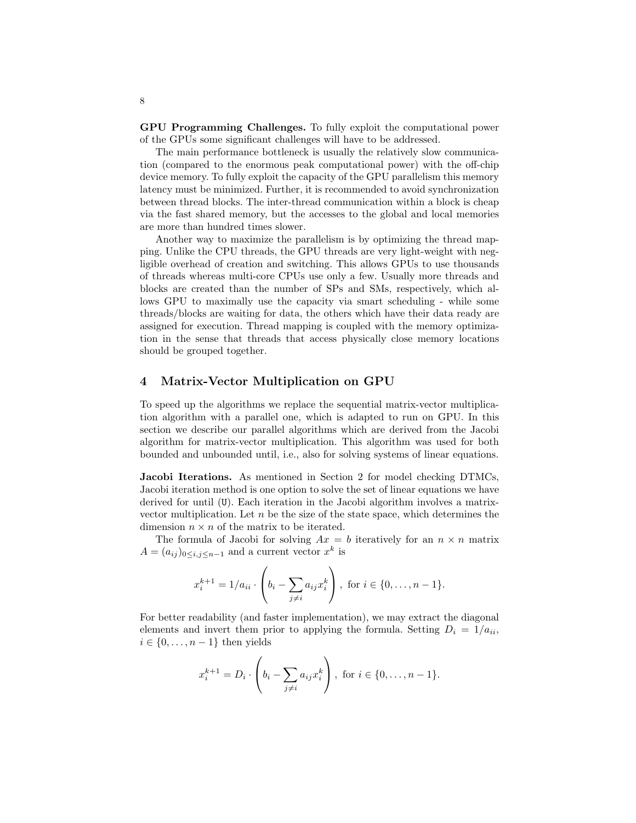GPU Programming Challenges. To fully exploit the computational power of the GPUs some significant challenges will have to be addressed.

The main performance bottleneck is usually the relatively slow communication (compared to the enormous peak computational power) with the off-chip device memory. To fully exploit the capacity of the GPU parallelism this memory latency must be minimized. Further, it is recommended to avoid synchronization between thread blocks. The inter-thread communication within a block is cheap via the fast shared memory, but the accesses to the global and local memories are more than hundred times slower.

Another way to maximize the parallelism is by optimizing the thread mapping. Unlike the CPU threads, the GPU threads are very light-weight with negligible overhead of creation and switching. This allows GPUs to use thousands of threads whereas multi-core CPUs use only a few. Usually more threads and blocks are created than the number of SPs and SMs, respectively, which allows GPU to maximally use the capacity via smart scheduling - while some threads/blocks are waiting for data, the others which have their data ready are assigned for execution. Thread mapping is coupled with the memory optimization in the sense that threads that access physically close memory locations should be grouped together.

# 4 Matrix-Vector Multiplication on GPU

To speed up the algorithms we replace the sequential matrix-vector multiplication algorithm with a parallel one, which is adapted to run on GPU. In this section we describe our parallel algorithms which are derived from the Jacobi algorithm for matrix-vector multiplication. This algorithm was used for both bounded and unbounded until, i.e., also for solving systems of linear equations.

Jacobi Iterations. As mentioned in Section 2 for model checking DTMCs, Jacobi iteration method is one option to solve the set of linear equations we have derived for until (U). Each iteration in the Jacobi algorithm involves a matrixvector multiplication. Let  $n$  be the size of the state space, which determines the dimension  $n \times n$  of the matrix to be iterated.

The formula of Jacobi for solving  $Ax = b$  iteratively for an  $n \times n$  matrix  $A = (a_{ij})_{0 \le i,j \le n-1}$  and a current vector  $x^k$  is

$$
x_i^{k+1} = 1/a_{ii} \cdot \left(b_i - \sum_{j \neq i} a_{ij} x_i^k\right), \text{ for } i \in \{0, \dots, n-1\}.
$$

For better readability (and faster implementation), we may extract the diagonal elements and invert them prior to applying the formula. Setting  $D_i = 1/a_{ii}$ ,  $i \in \{0, \ldots, n-1\}$  then yields

$$
x_i^{k+1} = D_i \cdot \left(b_i - \sum_{j \neq i} a_{ij} x_i^k\right), \text{ for } i \in \{0, ..., n-1\}.
$$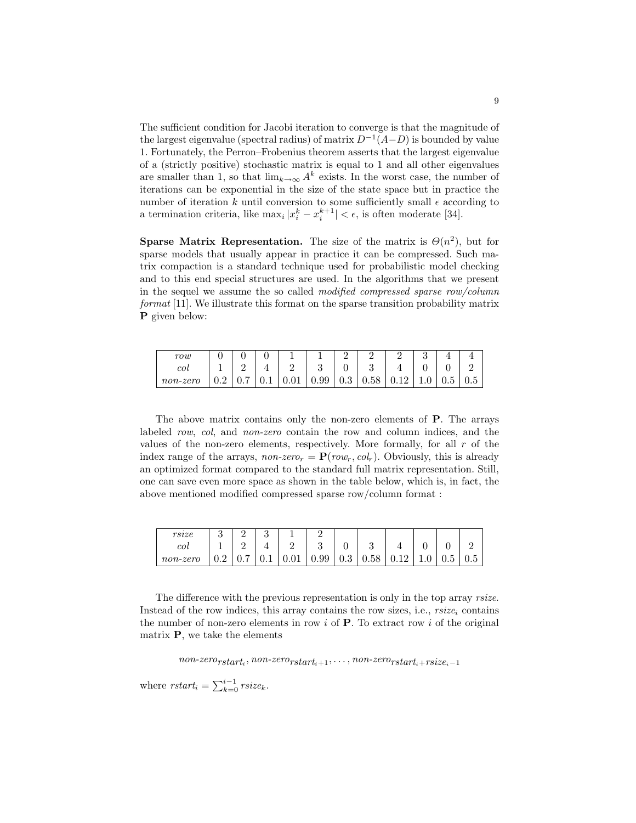The sufficient condition for Jacobi iteration to converge is that the magnitude of the largest eigenvalue (spectral radius) of matrix  $D^{-1}(A-D)$  is bounded by value 1. Fortunately, the Perron–Frobenius theorem asserts that the largest eigenvalue of a (strictly positive) stochastic matrix is equal to 1 and all other eigenvalues are smaller than 1, so that  $\lim_{k\to\infty} A^k$  exists. In the worst case, the number of iterations can be exponential in the size of the state space but in practice the number of iteration k until conversion to some sufficiently small  $\epsilon$  according to a termination criteria, like  $\max_i |x_i^k - x_i^{k+1}| < \epsilon$ , is often moderate [34].

**Sparse Matrix Representation.** The size of the matrix is  $\Theta(n^2)$ , but for sparse models that usually appear in practice it can be compressed. Such matrix compaction is a standard technique used for probabilistic model checking and to this end special structures are used. In the algorithms that we present in the sequel we assume the so called modified compressed sparse row/column format [11]. We illustrate this format on the sparse transition probability matrix P given below:

| row        |     |     |     |      |      |     |      |      |     |     |          |
|------------|-----|-----|-----|------|------|-----|------|------|-----|-----|----------|
| col        |     |     |     |      |      |     |      |      |     |     |          |
| $non-zero$ | ∪.∠ | 0.7 | U.I | 0.01 | 0.99 | 0.3 | 0.58 | 0.12 | 1.0 | U.5 | ٠<br>U.5 |

The above matrix contains only the non-zero elements of P. The arrays labeled row, col, and non-zero contain the row and column indices, and the values of the non-zero elements, respectively. More formally, for all  $r$  of the index range of the arrays, non-zero<sub>r</sub> =  $\mathbf{P}(row_r, col_r)$ . Obviously, this is already an optimized format compared to the standard full matrix representation. Still, one can save even more space as shown in the table below, which is, in fact, the above mentioned modified compressed sparse row/column format :

| rsize      |     |             |     |      |      |     |      |      |     |     |
|------------|-----|-------------|-----|------|------|-----|------|------|-----|-----|
| col        |     |             |     |      |      |     |      |      |     |     |
| $non-zero$ | ∪.∠ | $U_{\rm t}$ | U.I | 0.01 | 0.99 | 0.3 | 0.58 | 0.12 | U.5 | 0.5 |

The difference with the previous representation is only in the top array rsize. Instead of the row indices, this array contains the row sizes, i.e.,  $rsize_i$  contains the number of non-zero elements in row  $i$  of  $P$ . To extract row  $i$  of the original matrix  $P$ , we take the elements

 $\mathit{non-zero}_{rstart_i}, \mathit{non-zero}_{rstart_i+1}, \ldots, \mathit{non-zero}_{rstart_i+rsize_i-1}$ 

where  $rstart_i = \sum_{k=0}^{i-1} rsize_k$ .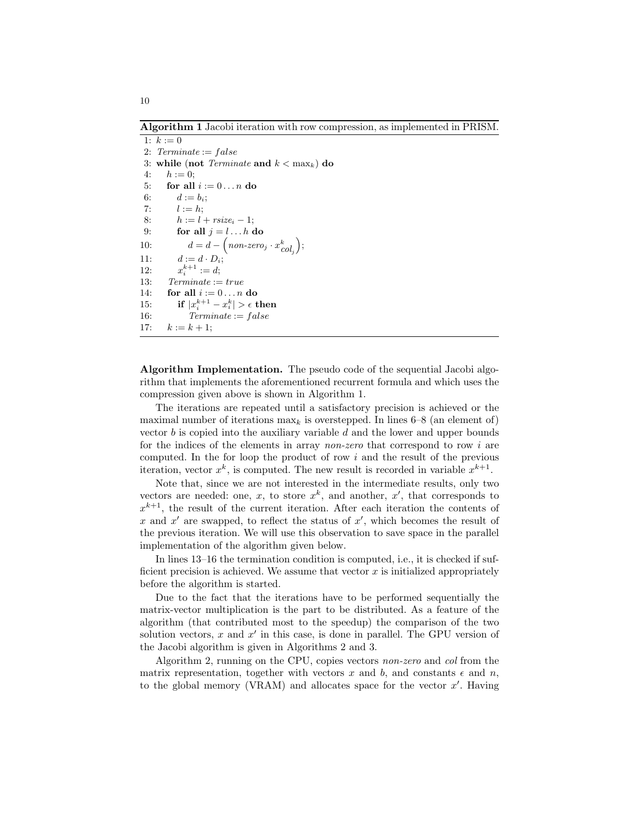Algorithm 1 Jacobi iteration with row compression, as implemented in PRISM.

1:  $k := 0$ 2: Terminate :=  $false$ 3: while (not *Terminate* and  $k < \max_k$ ) do 4:  $h := 0$ ; 5: for all  $i := 0 \dots n$  do 6:  $d := b_i;$ 7:  $l := h$ : 8:  $h := l + \text{rsize}_i - 1;$ 9: for all  $j = l \dots h$  do 10:  $d = d - \left( non-zero_j \cdot x_{col_j}^k \right);$ 11:  $d := d \cdot D_i;$  $12:$  $i^{k+1} := d;$ 13:  $Terminate := true$ 14: for all  $i := 0 \dots n$  do 15: **if**  $|x_i^{k+1} - x_i^k| > \epsilon$  then 16:  $Terminate := false$ 17:  $k := k + 1;$ 

Algorithm Implementation. The pseudo code of the sequential Jacobi algorithm that implements the aforementioned recurrent formula and which uses the compression given above is shown in Algorithm 1.

The iterations are repeated until a satisfactory precision is achieved or the maximal number of iterations  $\max_k$  is overstepped. In lines 6–8 (an element of) vector  $b$  is copied into the auxiliary variable  $d$  and the lower and upper bounds for the indices of the elements in array *non-zero* that correspond to row i are computed. In the for loop the product of row  $i$  and the result of the previous iteration, vector  $x^k$ , is computed. The new result is recorded in variable  $x^{k+1}$ .

Note that, since we are not interested in the intermediate results, only two vectors are needed: one, x, to store  $x^k$ , and another, x', that corresponds to  $x^{k+1}$ , the result of the current iteration. After each iteration the contents of x and  $x'$  are swapped, to reflect the status of  $x'$ , which becomes the result of the previous iteration. We will use this observation to save space in the parallel implementation of the algorithm given below.

In lines 13–16 the termination condition is computed, i.e., it is checked if sufficient precision is achieved. We assume that vector  $x$  is initialized appropriately before the algorithm is started.

Due to the fact that the iterations have to be performed sequentially the matrix-vector multiplication is the part to be distributed. As a feature of the algorithm (that contributed most to the speedup) the comparison of the two solution vectors,  $x$  and  $x'$  in this case, is done in parallel. The GPU version of the Jacobi algorithm is given in Algorithms 2 and 3.

Algorithm 2, running on the CPU, copies vectors non-zero and col from the matrix representation, together with vectors x and b, and constants  $\epsilon$  and n, to the global memory (VRAM) and allocates space for the vector  $x'$ . Having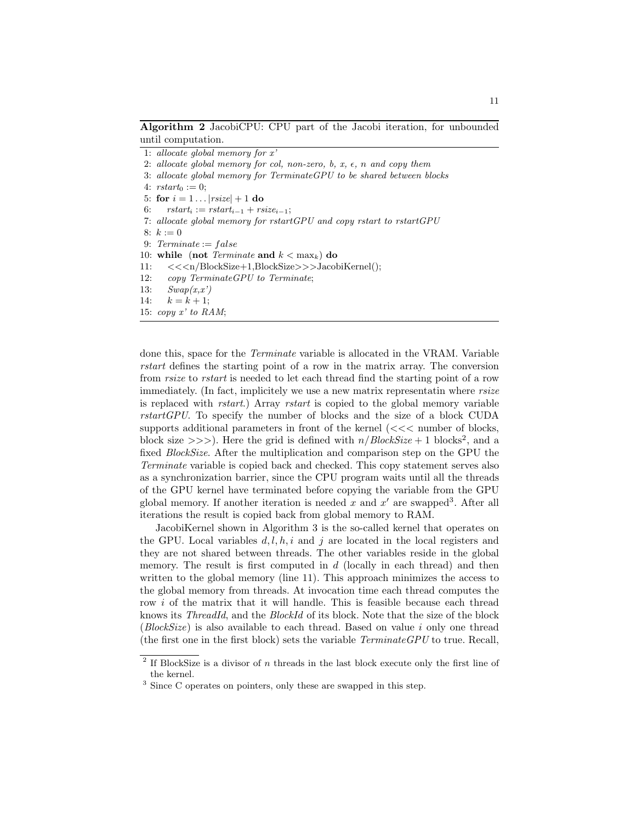Algorithm 2 JacobiCPU: CPU part of the Jacobi iteration, for unbounded until computation.

1: allocate global memory for x'

2: allocate global memory for col, non-zero, b, x,  $\epsilon$ , n and copy them

3: allocate global memory for TerminateGPU to be shared between blocks

4:  $rstart_0 := 0$ ; 5: for  $i = 1 ... |raise| + 1 \textbf{d}$ 6:  $rstart_i := rstart_{i-1} + rsize_{i-1};$ 7: allocate global memory for rstartGPU and copy rstart to rstartGPU 8:  $k := 0$ 

9: Terminate :=  $false$ 

10: while (not *Terminate* and  $k < \max_k$ ) do

- 11: <<<n/BlockSize+1,BlockSize>>>JacobiKernel();
- 12: copy TerminateGPU to Terminate;

13:  $Swap(x,x')$ 

14:  $k = k + 1$ ;

15: copy  $x'$  to RAM;

done this, space for the Terminate variable is allocated in the VRAM. Variable rstart defines the starting point of a row in the matrix array. The conversion from rsize to rstart is needed to let each thread find the starting point of a row immediately. (In fact, implicitely we use a new matrix representatin where rsize is replaced with rstart.) Array rstart is copied to the global memory variable rstartGPU. To specify the number of blocks and the size of a block CUDA supports additional parameters in front of the kernel  $\langle \langle \langle \rangle \rangle$  number of blocks, block size  $\gg$ ). Here the grid is defined with  $n/BlockSize + 1$  blocks<sup>2</sup>, and a fixed BlockSize. After the multiplication and comparison step on the GPU the Terminate variable is copied back and checked. This copy statement serves also as a synchronization barrier, since the CPU program waits until all the threads of the GPU kernel have terminated before copying the variable from the GPU global memory. If another iteration is needed x and  $x'$  are swapped<sup>3</sup>. After all iterations the result is copied back from global memory to RAM.

JacobiKernel shown in Algorithm 3 is the so-called kernel that operates on the GPU. Local variables  $d, l, h, i$  and j are located in the local registers and they are not shared between threads. The other variables reside in the global memory. The result is first computed in  $d$  (locally in each thread) and then written to the global memory (line 11). This approach minimizes the access to the global memory from threads. At invocation time each thread computes the row i of the matrix that it will handle. This is feasible because each thread knows its ThreadId, and the BlockId of its block. Note that the size of the block  $(BlockSize)$  is also available to each thread. Based on value i only one thread (the first one in the first block) sets the variable  $TerminateGPU$  to true. Recall,

<sup>&</sup>lt;sup>2</sup> If BlockSize is a divisor of n threads in the last block execute only the first line of the kernel.

<sup>3</sup> Since C operates on pointers, only these are swapped in this step.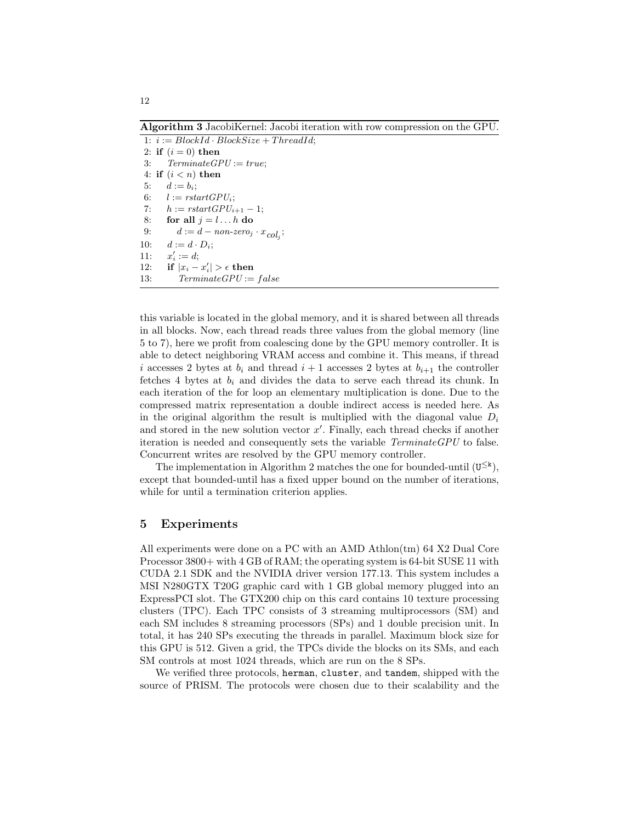Algorithm 3 JacobiKernel: Jacobi iteration with row compression on the GPU.

1:  $i := BlockId \cdot BlockSize + ThreadId;$ 2: if  $(i = 0)$  then 3:  $TerminateGPU := true;$ 4: if  $(i < n)$  then 5:  $d := b_i;$ 6:  $l := \text{rstart} GPU_i;$ 7:  $h := \text{rstart} GPU_{i+1} - 1;$ 8: for all  $j = l \dots h$  do 9:  $d := d - non-zero_j \cdot x_{col_j};$ 10:  $d := d \cdot D_i;$  $11:$  $i' := d;$ 12: if  $|x_i - x'_i| > \epsilon$  then 13:  $TerminateGPU := false$ 

this variable is located in the global memory, and it is shared between all threads in all blocks. Now, each thread reads three values from the global memory (line 5 to 7), here we profit from coalescing done by the GPU memory controller. It is able to detect neighboring VRAM access and combine it. This means, if thread i accesses 2 bytes at  $b_i$  and thread  $i + 1$  accesses 2 bytes at  $b_{i+1}$  the controller fetches 4 bytes at  $b_i$  and divides the data to serve each thread its chunk. In each iteration of the for loop an elementary multiplication is done. Due to the compressed matrix representation a double indirect access is needed here. As in the original algorithm the result is multiplied with the diagonal value  $D_i$ and stored in the new solution vector  $x'$ . Finally, each thread checks if another iteration is needed and consequently sets the variable TerminateGPU to false. Concurrent writes are resolved by the GPU memory controller.

The implementation in Algorithm 2 matches the one for bounded-until  $(U^{\leq k})$ , except that bounded-until has a fixed upper bound on the number of iterations, while for until a termination criterion applies.

#### 5 Experiments

All experiments were done on a PC with an AMD Athlon(tm) 64 X2 Dual Core Processor 3800+ with 4 GB of RAM; the operating system is 64-bit SUSE 11 with CUDA 2.1 SDK and the NVIDIA driver version 177.13. This system includes a MSI N280GTX T20G graphic card with 1 GB global memory plugged into an ExpressPCI slot. The GTX200 chip on this card contains 10 texture processing clusters (TPC). Each TPC consists of 3 streaming multiprocessors (SM) and each SM includes 8 streaming processors (SPs) and 1 double precision unit. In total, it has 240 SPs executing the threads in parallel. Maximum block size for this GPU is 512. Given a grid, the TPCs divide the blocks on its SMs, and each SM controls at most 1024 threads, which are run on the 8 SPs.

We verified three protocols, herman, cluster, and tandem, shipped with the source of PRISM. The protocols were chosen due to their scalability and the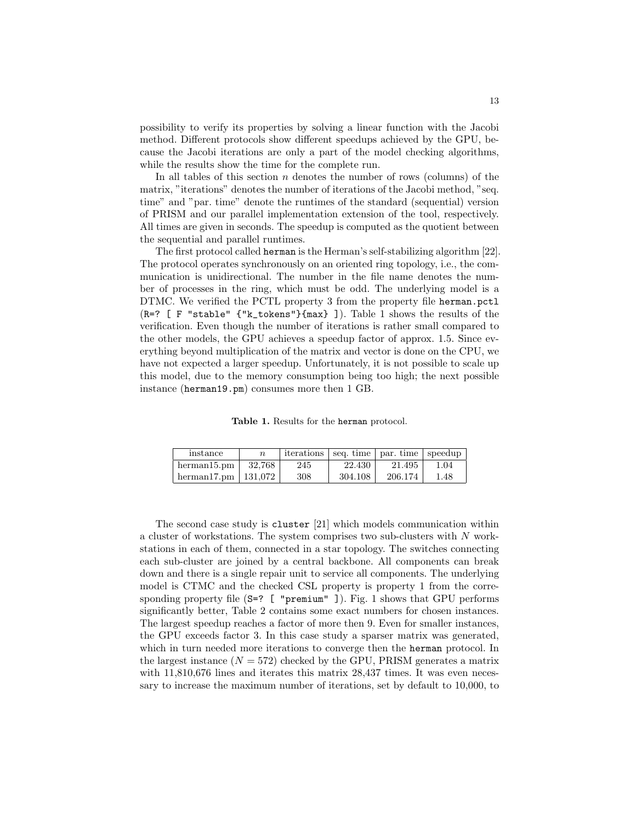possibility to verify its properties by solving a linear function with the Jacobi method. Different protocols show different speedups achieved by the GPU, because the Jacobi iterations are only a part of the model checking algorithms, while the results show the time for the complete run.

In all tables of this section  $n$  denotes the number of rows (columns) of the matrix, "iterations" denotes the number of iterations of the Jacobi method, "seq. time" and "par. time" denote the runtimes of the standard (sequential) version of PRISM and our parallel implementation extension of the tool, respectively. All times are given in seconds. The speedup is computed as the quotient between the sequential and parallel runtimes.

The first protocol called herman is the Herman's self-stabilizing algorithm [22]. The protocol operates synchronously on an oriented ring topology, i.e., the communication is unidirectional. The number in the file name denotes the number of processes in the ring, which must be odd. The underlying model is a DTMC. We verified the PCTL property 3 from the property file herman.pctl (R=? [ F "stable" {"k\_tokens"}{max} ]). Table 1 shows the results of the verification. Even though the number of iterations is rather small compared to the other models, the GPU achieves a speedup factor of approx. 1.5. Since everything beyond multiplication of the matrix and vector is done on the CPU, we have not expected a larger speedup. Unfortunately, it is not possible to scale up this model, due to the memory consumption being too high; the next possible instance (herman19.pm) consumes more then 1 GB.

Table 1. Results for the herman protocol.

| instance                |        | iterations seq. time par. time speedup |         |         |      |
|-------------------------|--------|----------------------------------------|---------|---------|------|
| $herman15.$ pm          | 32.768 | 245                                    | 22.430  | 21.495  | 1.04 |
| herman17.pm   $131,072$ |        | 308                                    | 304.108 | 206.174 | 1.48 |

The second case study is cluster [21] which models communication within a cluster of workstations. The system comprises two sub-clusters with  $N$  workstations in each of them, connected in a star topology. The switches connecting each sub-cluster are joined by a central backbone. All components can break down and there is a single repair unit to service all components. The underlying model is CTMC and the checked CSL property is property 1 from the corresponding property file (S=? [ "premium" ]). Fig. 1 shows that GPU performs significantly better, Table 2 contains some exact numbers for chosen instances. The largest speedup reaches a factor of more then 9. Even for smaller instances, the GPU exceeds factor 3. In this case study a sparser matrix was generated, which in turn needed more iterations to converge then the herman protocol. In the largest instance  $(N = 572)$  checked by the GPU, PRISM generates a matrix with 11,810,676 lines and iterates this matrix 28,437 times. It was even necessary to increase the maximum number of iterations, set by default to 10,000, to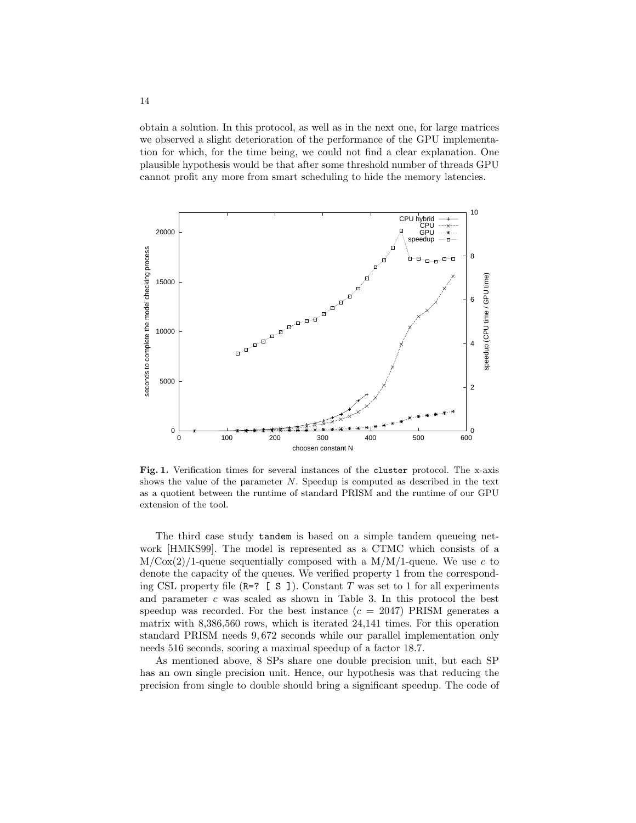obtain a solution. In this protocol, as well as in the next one, for large matrices we observed a slight deterioration of the performance of the GPU implementation for which, for the time being, we could not find a clear explanation. One plausible hypothesis would be that after some threshold number of threads GPU cannot profit any more from smart scheduling to hide the memory latencies.



Fig. 1. Verification times for several instances of the cluster protocol. The x-axis shows the value of the parameter  $N$ . Speedup is computed as described in the text as a quotient between the runtime of standard PRISM and the runtime of our GPU extension of the tool.

The third case study tandem is based on a simple tandem queueing network [HMKS99]. The model is represented as a CTMC which consists of a  $M/Cox(2)/1$ -queue sequentially composed with a  $M/M/1$ -queue. We use c to denote the capacity of the queues. We verified property 1 from the corresponding CSL property file  $(R=? \ S]$ ). Constant T was set to 1 for all experiments and parameter  $c$  was scaled as shown in Table 3. In this protocol the best speedup was recorded. For the best instance  $(c = 2047)$  PRISM generates a matrix with 8,386,560 rows, which is iterated 24,141 times. For this operation standard PRISM needs 9, 672 seconds while our parallel implementation only needs 516 seconds, scoring a maximal speedup of a factor 18.7.

As mentioned above, 8 SPs share one double precision unit, but each SP has an own single precision unit. Hence, our hypothesis was that reducing the precision from single to double should bring a significant speedup. The code of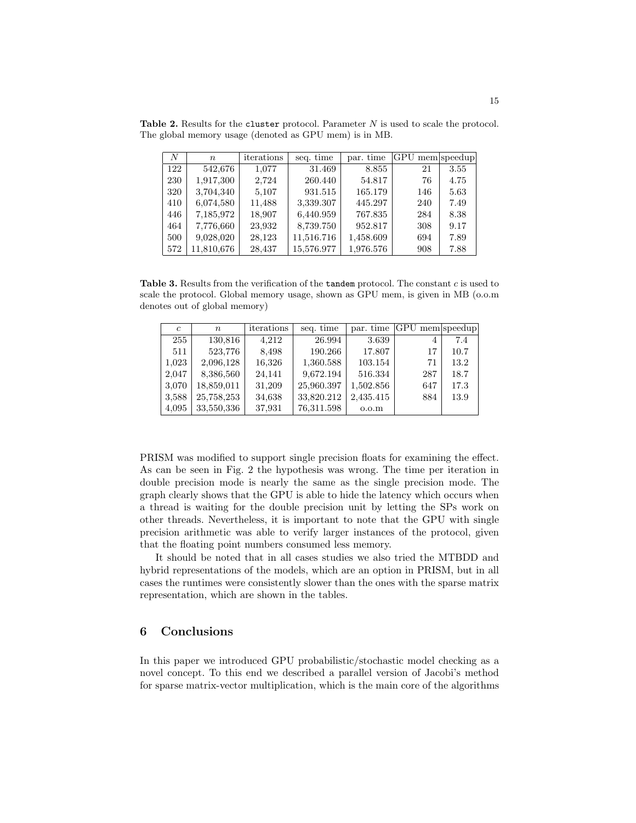Table 2. Results for the cluster protocol. Parameter N is used to scale the protocol. The global memory usage (denoted as GPU mem) is in MB.

| N   | $\boldsymbol{n}$ | iterations | seq. time  | par. time | <b>GPU</b> mem speedup |      |
|-----|------------------|------------|------------|-----------|------------------------|------|
| 122 | 542,676          | 1,077      | 31.469     | 8.855     | 21                     | 3.55 |
| 230 | 1,917,300        | 2,724      | 260.440    | 54.817    | 76                     | 4.75 |
| 320 | 3,704,340        | 5,107      | 931.515    | 165.179   | 146                    | 5.63 |
| 410 | 6,074,580        | 11,488     | 3,339.307  | 445.297   | 240                    | 7.49 |
| 446 | 7,185,972        | 18,907     | 6,440.959  | 767.835   | 284                    | 8.38 |
| 464 | 7,776,660        | 23,932     | 8,739.750  | 952.817   | 308                    | 9.17 |
| 500 | 9,028,020        | 28,123     | 11,516.716 | 1,458.609 | 694                    | 7.89 |
| 572 | 11,810,676       | 28,437     | 15,576.977 | 1,976.576 | 908                    | 7.88 |

Table 3. Results from the verification of the tandem protocol. The constant  $c$  is used to scale the protocol. Global memory usage, shown as GPU mem, is given in MB (o.o.m denotes out of global memory)

| C     | $\, n$     | iterations | seq. time  |                  | par. time GPU mem/speedup |      |
|-------|------------|------------|------------|------------------|---------------------------|------|
| 255   | 130,816    | 4.212      | 26.994     | 3.639            | 4                         | 7.4  |
| 511   | 523,776    | 8,498      | 190.266    | 17.807           | 17                        | 10.7 |
| 1,023 | 2,096,128  | 16,326     | 1,360.588  | 103.154          | 71                        | 13.2 |
| 2,047 | 8,386,560  | 24,141     | 9,672.194  | 516.334          | 287                       | 18.7 |
| 3,070 | 18,859,011 | 31,209     | 25,960.397 | 1,502.856        | 647                       | 17.3 |
| 3,588 | 25,758,253 | 34,638     | 33,820.212 | 2,435.415        | 884                       | 13.9 |
| 4,095 | 33,550,336 | 37,931     | 76,311.598 | 0.0 <sub>m</sub> |                           |      |

PRISM was modified to support single precision floats for examining the effect. As can be seen in Fig. 2 the hypothesis was wrong. The time per iteration in double precision mode is nearly the same as the single precision mode. The graph clearly shows that the GPU is able to hide the latency which occurs when a thread is waiting for the double precision unit by letting the SPs work on other threads. Nevertheless, it is important to note that the GPU with single precision arithmetic was able to verify larger instances of the protocol, given that the floating point numbers consumed less memory.

It should be noted that in all cases studies we also tried the MTBDD and hybrid representations of the models, which are an option in PRISM, but in all cases the runtimes were consistently slower than the ones with the sparse matrix representation, which are shown in the tables.

## 6 Conclusions

In this paper we introduced GPU probabilistic/stochastic model checking as a novel concept. To this end we described a parallel version of Jacobi's method for sparse matrix-vector multiplication, which is the main core of the algorithms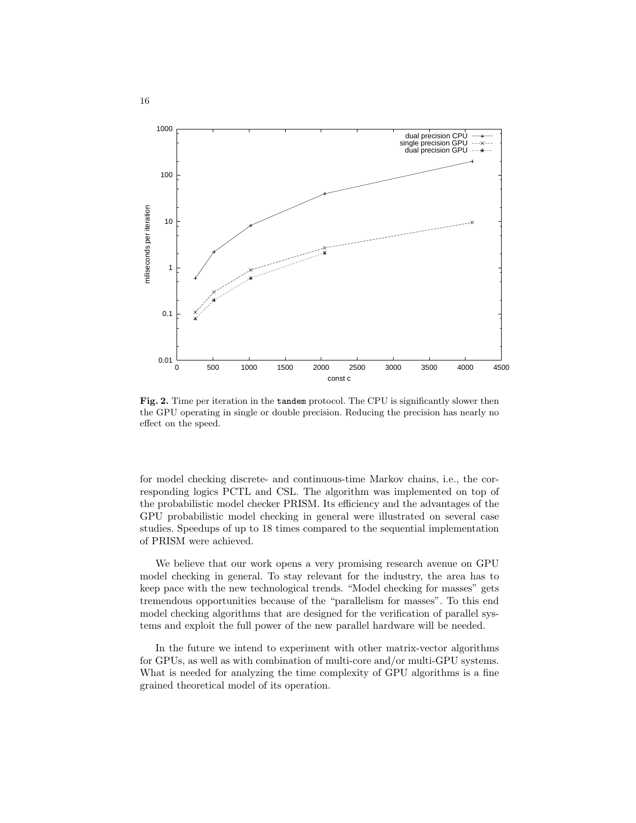

Fig. 2. Time per iteration in the tandem protocol. The CPU is significantly slower then the GPU operating in single or double precision. Reducing the precision has nearly no effect on the speed.

for model checking discrete- and continuous-time Markov chains, i.e., the corresponding logics PCTL and CSL. The algorithm was implemented on top of the probabilistic model checker PRISM. Its efficiency and the advantages of the GPU probabilistic model checking in general were illustrated on several case studies. Speedups of up to 18 times compared to the sequential implementation of PRISM were achieved.

We believe that our work opens a very promising research avenue on GPU model checking in general. To stay relevant for the industry, the area has to keep pace with the new technological trends. "Model checking for masses" gets tremendous opportunities because of the "parallelism for masses". To this end model checking algorithms that are designed for the verification of parallel systems and exploit the full power of the new parallel hardware will be needed.

In the future we intend to experiment with other matrix-vector algorithms for GPUs, as well as with combination of multi-core and/or multi-GPU systems. What is needed for analyzing the time complexity of GPU algorithms is a fine grained theoretical model of its operation.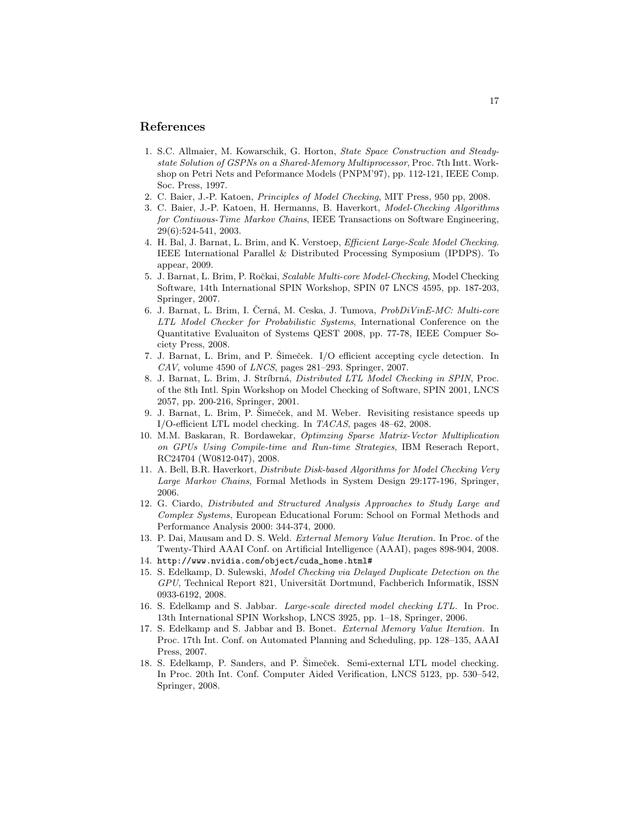#### References

- 1. S.C. Allmaier, M. Kowarschik, G. Horton, State Space Construction and Steadystate Solution of GSPNs on a Shared-Memory Multiprocessor, Proc. 7th Intt. Workshop on Petri Nets and Peformance Models (PNPM'97), pp. 112-121, IEEE Comp. Soc. Press, 1997.
- 2. C. Baier, J.-P. Katoen, Principles of Model Checking, MIT Press, 950 pp, 2008.
- 3. C. Baier, J.-P. Katoen, H. Hermanns, B. Haverkort, Model-Checking Algorithms for Contiuous-Time Markov Chains, IEEE Transactions on Software Engineering, 29(6):524-541, 2003.
- 4. H. Bal, J. Barnat, L. Brim, and K. Verstoep, Efficient Large-Scale Model Checking. IEEE International Parallel & Distributed Processing Symposium (IPDPS). To appear, 2009.
- 5. J. Barnat, L. Brim, P. Ročkai, Scalable Multi-core Model-Checking, Model Checking Software, 14th International SPIN Workshop, SPIN 07 LNCS 4595, pp. 187-203, Springer, 2007.
- 6. J. Barnat, L. Brim, I. Černá, M. Ceska, J. Tumova,  $ProbDivinE-MC: Multi-core$ LTL Model Checker for Probabilistic Systems, International Conference on the Quantitative Evaluaiton of Systems QEST 2008, pp. 77-78, IEEE Compuer Society Press, 2008.
- 7. J. Barnat, L. Brim, and P. Šimeček.  $I/O$  efficient accepting cycle detection. In  $CAV$ , volume 4590 of *LNCS*, pages  $281-293$ . Springer, 2007.
- 8. J. Barnat, L. Brim, J. Stríbrná, *Distributed LTL Model Checking in SPIN*, Proc. of the 8th Intl. Spin Workshop on Model Checking of Software, SPIN 2001, LNCS 2057, pp. 200-216, Springer, 2001.
- 9. J. Barnat, L. Brim, P. Simeček, and M. Weber. Revisiting resistance speeds up I/O-efficient LTL model checking. In TACAS, pages 48–62, 2008.
- 10. M.M. Baskaran, R. Bordawekar, Optimzing Sparse Matrix-Vector Multiplication on GPUs Using Compile-time and Run-time Strategies, IBM Reserach Report, RC24704 (W0812-047), 2008.
- 11. A. Bell, B.R. Haverkort, Distribute Disk-based Algorithms for Model Checking Very Large Markov Chains, Formal Methods in System Design 29:177-196, Springer, 2006.
- 12. G. Ciardo, Distributed and Structured Analysis Approaches to Study Large and Complex Systems, European Educational Forum: School on Formal Methods and Performance Analysis 2000: 344-374, 2000.
- 13. P. Dai, Mausam and D. S. Weld. External Memory Value Iteration. In Proc. of the Twenty-Third AAAI Conf. on Artificial Intelligence (AAAI), pages 898-904, 2008.
- 14. http://www.nvidia.com/object/cuda\_home.html#
- 15. S. Edelkamp, D. Sulewski, Model Checking via Delayed Duplicate Detection on the GPU, Technical Report 821, Universität Dortmund, Fachberich Informatik, ISSN 0933-6192, 2008.
- 16. S. Edelkamp and S. Jabbar. Large-scale directed model checking LTL. In Proc. 13th International SPIN Workshop, LNCS 3925, pp. 1–18, Springer, 2006.
- 17. S. Edelkamp and S. Jabbar and B. Bonet. External Memory Value Iteration. In Proc. 17th Int. Conf. on Automated Planning and Scheduling, pp. 128–135, AAAI Press, 2007.
- 18. S. Edelkamp, P. Sanders, and P. Šimeček. Semi-external LTL model checking. In Proc. 20th Int. Conf. Computer Aided Verification, LNCS 5123, pp. 530–542, Springer, 2008.